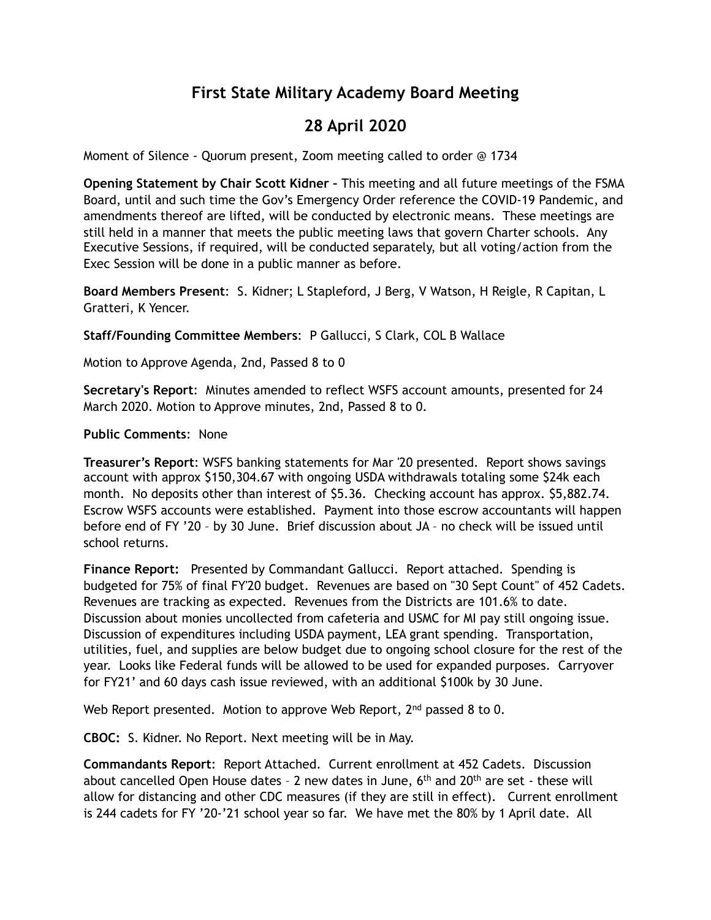# **First State Military Academy Board Meeting**

## **28 April 2020**

Moment of Silence - Quorum present, Zoom meeting called to order @ 1734

**Opening Statement by Chair Scott Kidner –** This meeting and all future meetings of the FSMA Board, until and such time the Gov's Emergency Order reference the COVID-19 Pandemic, and amendments thereof are lifted, will be conducted by electronic means. These meetings are still held in a manner that meets the public meeting laws that govern Charter schools. Any Executive Sessions, if required, will be conducted separately, but all voting/action from the Exec Session will be done in a public manner as before.

**Board Members Present**: S. Kidner; L Stapleford, J Berg, V Watson, H Reigle, R Capitan, L Gratteri, K Yencer.

**Staff/Founding Committee Members**: P Gallucci, S Clark, COL B Wallace

Motion to Approve Agenda, 2nd, Passed 8 to 0

**Secretary's Report**: Minutes amended to reflect WSFS account amounts, presented for 24 March 2020. Motion to Approve minutes, 2nd, Passed 8 to 0.

#### **Public Comments**: None

**Treasurer's Report**: WSFS banking statements for Mar '20 presented. Report shows savings account with approx \$150,304.67 with ongoing USDA withdrawals totaling some \$24k each month. No deposits other than interest of \$5.36. Checking account has approx. \$5,882.74. Escrow WSFS accounts were established. Payment into those escrow accountants will happen before end of FY '20 – by 30 June. Brief discussion about JA – no check will be issued until school returns.

**Finance Report:** Presented by Commandant Gallucci. Report attached. Spending is budgeted for 75% of final FY'20 budget. Revenues are based on "30 Sept Count" of 452 Cadets. Revenues are tracking as expected. Revenues from the Districts are 101.6% to date. Discussion about monies uncollected from cafeteria and USMC for MI pay still ongoing issue. Discussion of expenditures including USDA payment, LEA grant spending. Transportation, utilities, fuel, and supplies are below budget due to ongoing school closure for the rest of the year. Looks like Federal funds will be allowed to be used for expanded purposes. Carryover for FY21' and 60 days cash issue reviewed, with an additional \$100k by 30 June.

Web Report presented. Motion to approve Web Report, 2<sup>nd</sup> passed 8 to 0.

**CBOC:** S. Kidner. No Report. Next meeting will be in May.

**Commandants Report**: Report Attached. Current enrollment at 452 Cadets. Discussion about cancelled Open House dates - 2 new dates in June,  $6<sup>th</sup>$  and  $20<sup>th</sup>$  are set - these will allow for distancing and other CDC measures (if they are still in effect). Current enrollment is 244 cadets for FY '20-'21 school year so far. We have met the 80% by 1 April date. All